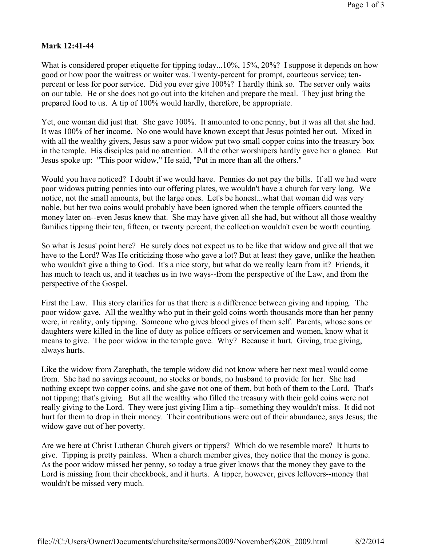## **Mark 12:41-44**

What is considered proper etiquette for tipping today...10%, 15%, 20%? I suppose it depends on how good or how poor the waitress or waiter was. Twenty-percent for prompt, courteous service; tenpercent or less for poor service. Did you ever give 100%? I hardly think so. The server only waits on our table. He or she does not go out into the kitchen and prepare the meal. They just bring the prepared food to us. A tip of 100% would hardly, therefore, be appropriate.

Yet, one woman did just that. She gave 100%. It amounted to one penny, but it was all that she had. It was 100% of her income. No one would have known except that Jesus pointed her out. Mixed in with all the wealthy givers, Jesus saw a poor widow put two small copper coins into the treasury box in the temple. His disciples paid no attention. All the other worshipers hardly gave her a glance. But Jesus spoke up: "This poor widow," He said, "Put in more than all the others."

Would you have noticed? I doubt if we would have. Pennies do not pay the bills. If all we had were poor widows putting pennies into our offering plates, we wouldn't have a church for very long. We notice, not the small amounts, but the large ones. Let's be honest...what that woman did was very noble, but her two coins would probably have been ignored when the temple officers counted the money later on--even Jesus knew that. She may have given all she had, but without all those wealthy families tipping their ten, fifteen, or twenty percent, the collection wouldn't even be worth counting.

So what is Jesus' point here? He surely does not expect us to be like that widow and give all that we have to the Lord? Was He criticizing those who gave a lot? But at least they gave, unlike the heathen who wouldn't give a thing to God. It's a nice story, but what do we really learn from it? Friends, it has much to teach us, and it teaches us in two ways--from the perspective of the Law, and from the perspective of the Gospel.

First the Law. This story clarifies for us that there is a difference between giving and tipping. The poor widow gave. All the wealthy who put in their gold coins worth thousands more than her penny were, in reality, only tipping. Someone who gives blood gives of them self. Parents, whose sons or daughters were killed in the line of duty as police officers or servicemen and women, know what it means to give. The poor widow in the temple gave. Why? Because it hurt. Giving, true giving, always hurts.

Like the widow from Zarephath, the temple widow did not know where her next meal would come from. She had no savings account, no stocks or bonds, no husband to provide for her. She had nothing except two copper coins, and she gave not one of them, but both of them to the Lord. That's not tipping; that's giving. But all the wealthy who filled the treasury with their gold coins were not really giving to the Lord. They were just giving Him a tip--something they wouldn't miss. It did not hurt for them to drop in their money. Their contributions were out of their abundance, says Jesus; the widow gave out of her poverty.

Are we here at Christ Lutheran Church givers or tippers? Which do we resemble more? It hurts to give. Tipping is pretty painless. When a church member gives, they notice that the money is gone. As the poor widow missed her penny, so today a true giver knows that the money they gave to the Lord is missing from their checkbook, and it hurts. A tipper, however, gives leftovers--money that wouldn't be missed very much.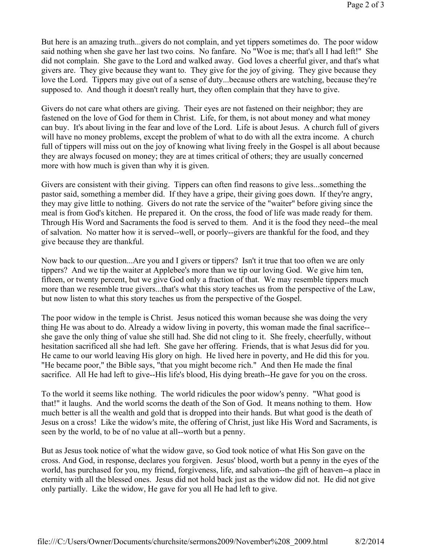But here is an amazing truth...givers do not complain, and yet tippers sometimes do. The poor widow said nothing when she gave her last two coins. No fanfare. No "Woe is me; that's all I had left!" She did not complain. She gave to the Lord and walked away. God loves a cheerful giver, and that's what givers are. They give because they want to. They give for the joy of giving. They give because they love the Lord. Tippers may give out of a sense of duty...because others are watching, because they're supposed to. And though it doesn't really hurt, they often complain that they have to give.

Givers do not care what others are giving. Their eyes are not fastened on their neighbor; they are fastened on the love of God for them in Christ. Life, for them, is not about money and what money can buy. It's about living in the fear and love of the Lord. Life is about Jesus. A church full of givers will have no money problems, except the problem of what to do with all the extra income. A church full of tippers will miss out on the joy of knowing what living freely in the Gospel is all about because they are always focused on money; they are at times critical of others; they are usually concerned more with how much is given than why it is given.

Givers are consistent with their giving. Tippers can often find reasons to give less...something the pastor said, something a member did. If they have a gripe, their giving goes down. If they're angry, they may give little to nothing. Givers do not rate the service of the "waiter" before giving since the meal is from God's kitchen. He prepared it. On the cross, the food of life was made ready for them. Through His Word and Sacraments the food is served to them. And it is the food they need--the meal of salvation. No matter how it is served--well, or poorly--givers are thankful for the food, and they give because they are thankful.

Now back to our question...Are you and I givers or tippers? Isn't it true that too often we are only tippers? And we tip the waiter at Applebee's more than we tip our loving God. We give him ten, fifteen, or twenty percent, but we give God only a fraction of that. We may resemble tippers much more than we resemble true givers...that's what this story teaches us from the perspective of the Law, but now listen to what this story teaches us from the perspective of the Gospel.

The poor widow in the temple is Christ. Jesus noticed this woman because she was doing the very thing He was about to do. Already a widow living in poverty, this woman made the final sacrifice- she gave the only thing of value she still had. She did not cling to it. She freely, cheerfully, without hesitation sacrificed all she had left. She gave her offering. Friends, that is what Jesus did for you. He came to our world leaving His glory on high. He lived here in poverty, and He did this for you. "He became poor," the Bible says, "that you might become rich." And then He made the final sacrifice. All He had left to give--His life's blood, His dying breath--He gave for you on the cross.

To the world it seems like nothing. The world ridicules the poor widow's penny. "What good is that!" it laughs. And the world scorns the death of the Son of God. It means nothing to them. How much better is all the wealth and gold that is dropped into their hands. But what good is the death of Jesus on a cross! Like the widow's mite, the offering of Christ, just like His Word and Sacraments, is seen by the world, to be of no value at all--worth but a penny.

But as Jesus took notice of what the widow gave, so God took notice of what His Son gave on the cross. And God, in response, declares you forgiven. Jesus' blood, worth but a penny in the eyes of the world, has purchased for you, my friend, forgiveness, life, and salvation--the gift of heaven--a place in eternity with all the blessed ones. Jesus did not hold back just as the widow did not. He did not give only partially. Like the widow, He gave for you all He had left to give.